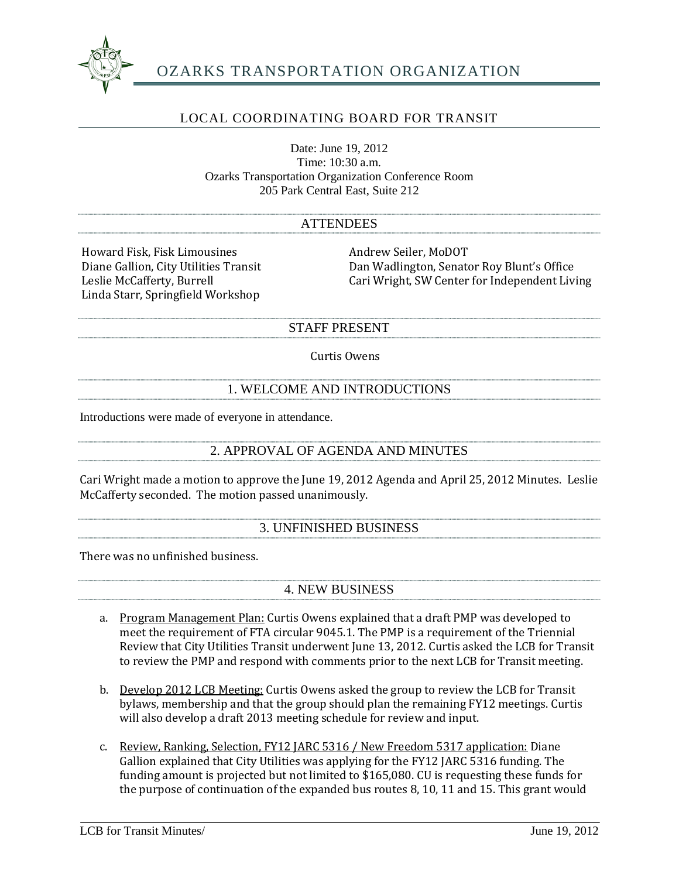

# OZARKS TRANSPORTATION ORGANIZATION

# LOCAL COORDINATING BOARD FOR TRANSIT

Date: June 19, 2012 Time: 10:30 a.m. Ozarks Transportation Organization Conference Room 205 Park Central East, Suite 212

#### ATTENDEES

Howard Fisk, Fisk Limousines<br>
Diane Gallion, City Utilities Transit<br>
Dan Wadlington, Senate Linda Starr, Springfield Workshop

Diane Gallion, City Utilities Transit **Dan Wadlington, Senator Roy Blunt's Office**<br>
Leslie McCafferty, Burrell **Dan Wright, SW Center for Independent Liv** Cari Wright, SW Center for Independent Living

#### STAFF PRESENT

#### Curtis Owens

## 1. WELCOME AND INTRODUCTIONS

Introductions were made of everyone in attendance.

## 2. APPROVAL OF AGENDA AND MINUTES

Cari Wright made a motion to approve the June 19, 2012 Agenda and April 25, 2012 Minutes. Leslie McCafferty seconded. The motion passed unanimously.

## 3. UNFINISHED BUSINESS

There was no unfinished business.

## 4. NEW BUSINESS

- a. Program Management Plan: Curtis Owens explained that a draft PMP was developed to meet the requirement of FTA circular 9045.1. The PMP is a requirement of the Triennial Review that City Utilities Transit underwent June 13, 2012. Curtis asked the LCB for Transit to review the PMP and respond with comments prior to the next LCB for Transit meeting.
- b. Develop 2012 LCB Meeting: Curtis Owens asked the group to review the LCB for Transit bylaws, membership and that the group should plan the remaining FY12 meetings. Curtis will also develop a draft 2013 meeting schedule for review and input.
- c. Review, Ranking, Selection, FY12 JARC 5316 / New Freedom 5317 application: Diane Gallion explained that City Utilities was applying for the FY12 JARC 5316 funding. The funding amount is projected but not limited to \$165,080. CU is requesting these funds for the purpose of continuation of the expanded bus routes 8, 10, 11 and 15. This grant would